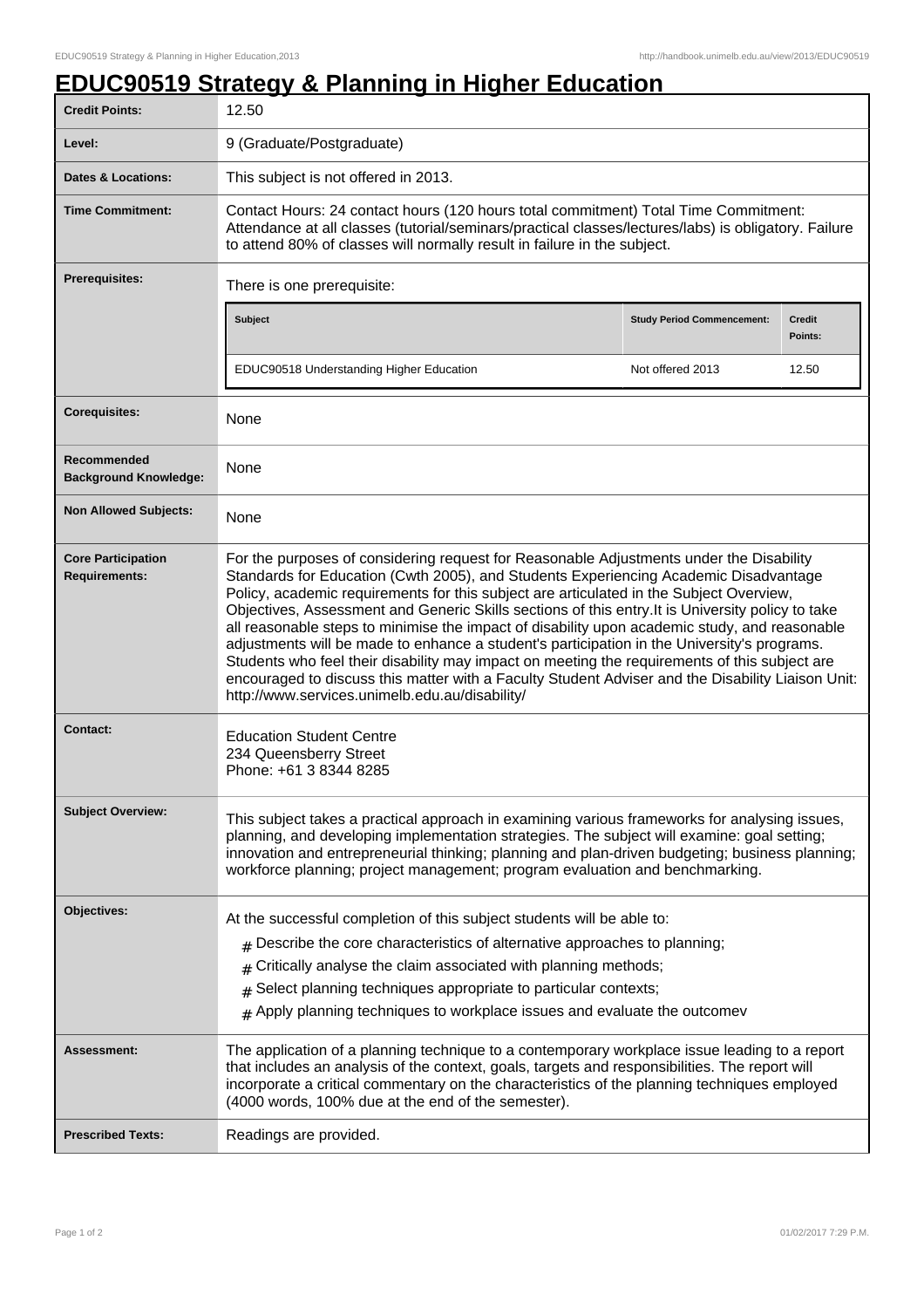## **EDUC90519 Strategy & Planning in Higher Education**

| <b>Credit Points:</b>                             | 12.50                                                                                                                                                                                                                                                                                                                                                                                                                                                                                                                                                                                                                                                                                                                                                                                                                                   |                                   |                          |
|---------------------------------------------------|-----------------------------------------------------------------------------------------------------------------------------------------------------------------------------------------------------------------------------------------------------------------------------------------------------------------------------------------------------------------------------------------------------------------------------------------------------------------------------------------------------------------------------------------------------------------------------------------------------------------------------------------------------------------------------------------------------------------------------------------------------------------------------------------------------------------------------------------|-----------------------------------|--------------------------|
| Level:                                            | 9 (Graduate/Postgraduate)                                                                                                                                                                                                                                                                                                                                                                                                                                                                                                                                                                                                                                                                                                                                                                                                               |                                   |                          |
| Dates & Locations:                                | This subject is not offered in 2013.                                                                                                                                                                                                                                                                                                                                                                                                                                                                                                                                                                                                                                                                                                                                                                                                    |                                   |                          |
| <b>Time Commitment:</b>                           | Contact Hours: 24 contact hours (120 hours total commitment) Total Time Commitment:<br>Attendance at all classes (tutorial/seminars/practical classes/lectures/labs) is obligatory. Failure<br>to attend 80% of classes will normally result in failure in the subject.                                                                                                                                                                                                                                                                                                                                                                                                                                                                                                                                                                 |                                   |                          |
| <b>Prerequisites:</b>                             | There is one prerequisite:                                                                                                                                                                                                                                                                                                                                                                                                                                                                                                                                                                                                                                                                                                                                                                                                              |                                   |                          |
|                                                   | Subject                                                                                                                                                                                                                                                                                                                                                                                                                                                                                                                                                                                                                                                                                                                                                                                                                                 | <b>Study Period Commencement:</b> | <b>Credit</b><br>Points: |
|                                                   | EDUC90518 Understanding Higher Education                                                                                                                                                                                                                                                                                                                                                                                                                                                                                                                                                                                                                                                                                                                                                                                                | Not offered 2013                  | 12.50                    |
| <b>Corequisites:</b>                              | None                                                                                                                                                                                                                                                                                                                                                                                                                                                                                                                                                                                                                                                                                                                                                                                                                                    |                                   |                          |
| Recommended<br><b>Background Knowledge:</b>       | None                                                                                                                                                                                                                                                                                                                                                                                                                                                                                                                                                                                                                                                                                                                                                                                                                                    |                                   |                          |
| <b>Non Allowed Subjects:</b>                      | None                                                                                                                                                                                                                                                                                                                                                                                                                                                                                                                                                                                                                                                                                                                                                                                                                                    |                                   |                          |
| <b>Core Participation</b><br><b>Requirements:</b> | For the purposes of considering request for Reasonable Adjustments under the Disability<br>Standards for Education (Cwth 2005), and Students Experiencing Academic Disadvantage<br>Policy, academic requirements for this subject are articulated in the Subject Overview,<br>Objectives, Assessment and Generic Skills sections of this entry. It is University policy to take<br>all reasonable steps to minimise the impact of disability upon academic study, and reasonable<br>adjustments will be made to enhance a student's participation in the University's programs.<br>Students who feel their disability may impact on meeting the requirements of this subject are<br>encouraged to discuss this matter with a Faculty Student Adviser and the Disability Liaison Unit:<br>http://www.services.unimelb.edu.au/disability/ |                                   |                          |
| <b>Contact:</b>                                   | <b>Education Student Centre</b><br>234 Queensberry Street<br>Phone: +61 3 8344 8285                                                                                                                                                                                                                                                                                                                                                                                                                                                                                                                                                                                                                                                                                                                                                     |                                   |                          |
| <b>Subject Overview:</b>                          | This subject takes a practical approach in examining various frameworks for analysing issues,<br>planning, and developing implementation strategies. The subject will examine: goal setting;<br>innovation and entrepreneurial thinking; planning and plan-driven budgeting; business planning;<br>workforce planning; project management; program evaluation and benchmarking.                                                                                                                                                                                                                                                                                                                                                                                                                                                         |                                   |                          |
| Objectives:                                       | At the successful completion of this subject students will be able to:<br>$#$ Describe the core characteristics of alternative approaches to planning;<br>Critically analyse the claim associated with planning methods;<br>#<br>Select planning techniques appropriate to particular contexts;<br>#<br>Apply planning techniques to workplace issues and evaluate the outcomev<br>#                                                                                                                                                                                                                                                                                                                                                                                                                                                    |                                   |                          |
| Assessment:                                       | The application of a planning technique to a contemporary workplace issue leading to a report<br>that includes an analysis of the context, goals, targets and responsibilities. The report will<br>incorporate a critical commentary on the characteristics of the planning techniques employed<br>(4000 words, 100% due at the end of the semester).                                                                                                                                                                                                                                                                                                                                                                                                                                                                                   |                                   |                          |
| <b>Prescribed Texts:</b>                          | Readings are provided.                                                                                                                                                                                                                                                                                                                                                                                                                                                                                                                                                                                                                                                                                                                                                                                                                  |                                   |                          |